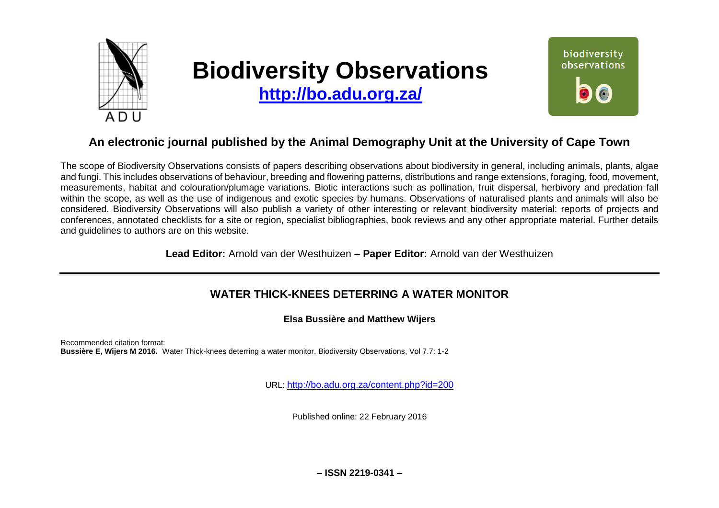

# **Biodiversity Observations**

**<http://bo.adu.org.za/>**

biodiversity observations Ô

# **An electronic journal published by the Animal Demography Unit at the University of Cape Town**

The scope of Biodiversity Observations consists of papers describing observations about biodiversity in general, including animals, plants, algae and fungi. This includes observations of behaviour, breeding and flowering patterns, distributions and range extensions, foraging, food, movement, measurements, habitat and colouration/plumage variations. Biotic interactions such as pollination, fruit dispersal, herbivory and predation fall within the scope, as well as the use of indigenous and exotic species by humans. Observations of naturalised plants and animals will also be considered. Biodiversity Observations will also publish a variety of other interesting or relevant biodiversity material: reports of projects and conferences, annotated checklists for a site or region, specialist bibliographies, book reviews and any other appropriate material. Further details and guidelines to authors are on this website.

**Lead Editor:** Arnold van der Westhuizen – **Paper Editor:** Arnold van der Westhuizen

# **WATER THICK-KNEES DETERRING A WATER MONITOR**

**Elsa Bussière and Matthew Wijers**

Recommended citation format: **Bussière E, Wijers M 2016.** Water Thick-knees deterring a water monitor. Biodiversity Observations, Vol 7.7: 1-2

URL: <http://bo.adu.org.za/content.php?id=200>

Published online: 22 February 2016

**– ISSN 2219-0341 –**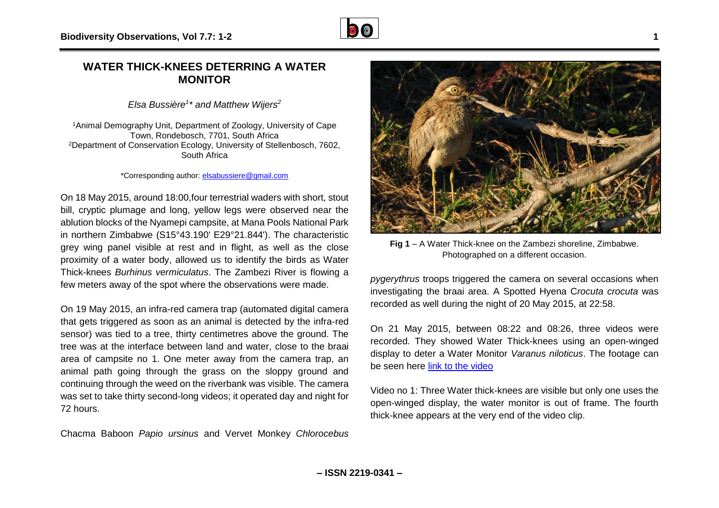

## **WATER THICK-KNEES DETERRING A WATER MONITOR**

*Elsa Bussière<sup>1</sup> \* and Matthew Wijers<sup>2</sup>*

<sup>1</sup>Animal Demography Unit, Department of Zoology, University of Cape Town, Rondebosch, 7701, South Africa <sup>2</sup>Department of Conservation Ecology, University of Stellenbosch, 7602, South Africa

#### \*Corresponding author: [elsabussiere@gmail.com](mailto:elsabussiere@gmail.com)

On 18 May 2015, around 18:00,four terrestrial waders with short, stout bill, cryptic plumage and long, yellow legs were observed near the ablution blocks of the Nyamepi campsite, at Mana Pools National Park in northern Zimbabwe (S15°43.190' E29°21.844'). The characteristic grey wing panel visible at rest and in flight, as well as the close proximity of a water body, allowed us to identify the birds as Water Thick-knees *Burhinus vermiculatus*. The Zambezi River is flowing a few meters away of the spot where the observations were made.

On 19 May 2015, an infra-red camera trap (automated digital camera that gets triggered as soon as an animal is detected by the infra-red sensor) was tied to a tree, thirty centimetres above the ground. The tree was at the interface between land and water, close to the braai area of campsite no 1. One meter away from the camera trap, an animal path going through the grass on the sloppy ground and continuing through the weed on the riverbank was visible. The camera was set to take thirty second-long videos; it operated day and night for 72 hours.

Chacma Baboon *Papio ursinus* and Vervet Monkey *Chlorocebus* 



**Fig 1** – A Water Thick-knee on the Zambezi shoreline, Zimbabwe. Photographed on a different occasion.

*pygerythrus* troops triggered the camera on several occasions when investigating the braai area. A Spotted Hyena C*rocuta crocuta* was recorded as well during the night of 20 May 2015, at 22:58.

On 21 May 2015, between 08:22 and 08:26, three videos were recorded. They showed Water Thick-knees using an open-winged display to deter a Water Monitor *Varanus niloticus*. The footage can be seen here [link to the video](https://www.youtube.com/watch?v=exS9H8G9-nk&feature=youtu.be)

Video no 1: Three Water thick-knees are visible but only one uses the open-winged display, the water monitor is out of frame. The fourth thick-knee appears at the very end of the video clip.